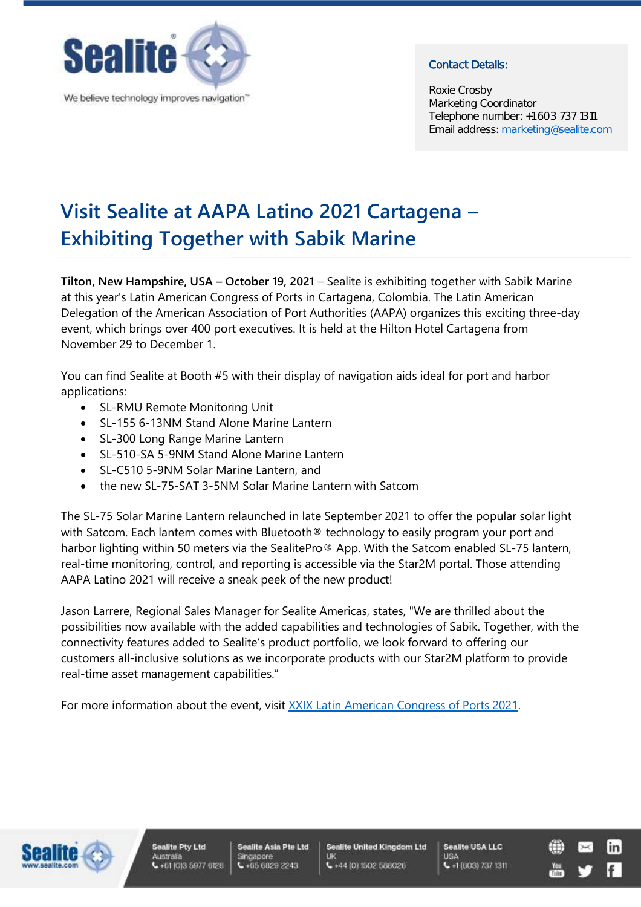

We believe technology improves navigation"

## Contact Details:

Roxie Crosby Marketing Coordinator Telephone number: +1 603 737 1311 Email address: [marketing@sealite.com](mailto:marketing@sealite.com)

## **Visit Sealite at AAPA Latino 2021 Cartagena – Exhibiting Together with Sabik Marine**

**Tilton, New Hampshire, USA – October 19, 2021** – Sealite is exhibiting together with Sabik Marine at this year's Latin American Congress of Ports in Cartagena, Colombia. The Latin American Delegation of the American Association of Port Authorities (AAPA) organizes this exciting three-day event, which brings over 400 port executives. It is held at the Hilton Hotel Cartagena from November 29 to December 1.

You can find Sealite at Booth #5 with their display of navigation aids ideal for port and harbor applications:

- SL-RMU Remote Monitoring Unit
- SL-155 6-13NM Stand Alone Marine Lantern
- SL-300 Long Range Marine Lantern
- SL-510-SA 5-9NM Stand Alone Marine Lantern
- SL-C510 5-9NM Solar Marine Lantern, and
- the new SL-75-SAT 3-5NM Solar Marine Lantern with Satcom

The SL-75 Solar Marine Lantern relaunched in late September 2021 to offer the popular solar light with Satcom. Each lantern comes with Bluetooth® technology to easily program your port and harbor lighting within 50 meters via the SealitePro<sup>®</sup> App. With the Satcom enabled SL-75 lantern, real-time monitoring, control, and reporting is accessible via the Star2M portal. Those attending AAPA Latino 2021 will receive a sneak peek of the new product!

Jason Larrere, Regional Sales Manager for Sealite Americas, states, "We are thrilled about the possibilities now available with the added capabilities and technologies of Sabik. Together, with the connectivity features added to Sealite's product portfolio, we look forward to offering our customers all-inclusive solutions as we incorporate products with our Star2M platform to provide real-time asset management capabilities."

For more information about the event, visit [XXIX Latin American Congress of Ports 2021.](https://aapalatinoamerica.com/en/)



**Sealite Asia Pte Ltd** Singapore  $66668292243$ 

**Sealite United Kingdom Ltd**  $-44(0)1502588026$ 

**Sealite USA LLC LISA**  $-1(603) 737 1311$